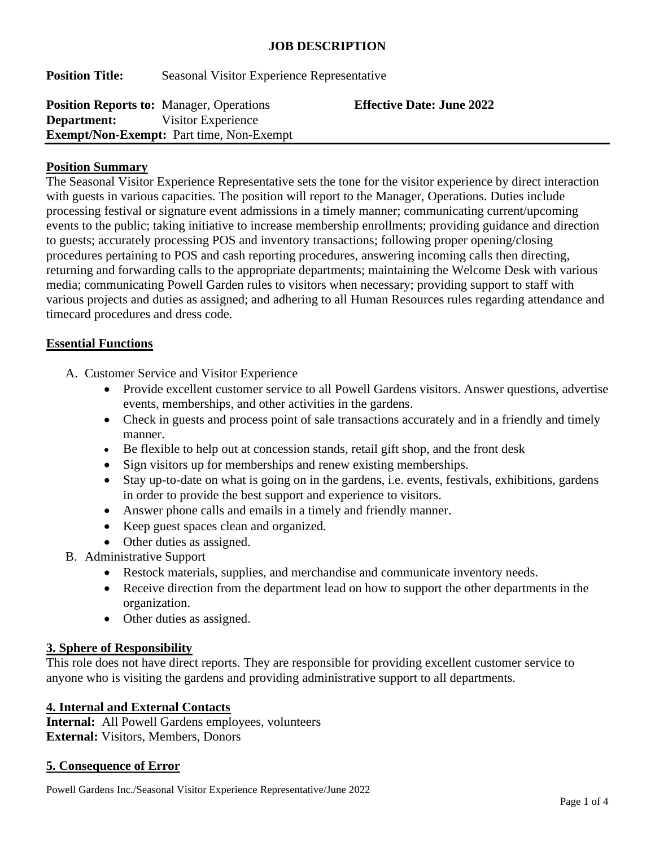#### **JOB DESCRIPTION**

**Position Title:** Seasonal Visitor Experience Representative

| <b>Position Reports to: Manager, Operations</b> |                                                 | <b>Effective Date: June 2022</b> |
|-------------------------------------------------|-------------------------------------------------|----------------------------------|
| <b>Department:</b> Visitor Experience           |                                                 |                                  |
|                                                 | <b>Exempt/Non-Exempt:</b> Part time, Non-Exempt |                                  |

## **Position Summary**

The Seasonal Visitor Experience Representative sets the tone for the visitor experience by direct interaction with guests in various capacities. The position will report to the Manager, Operations. Duties include processing festival or signature event admissions in a timely manner; communicating current/upcoming events to the public; taking initiative to increase membership enrollments; providing guidance and direction to guests; accurately processing POS and inventory transactions; following proper opening/closing procedures pertaining to POS and cash reporting procedures, answering incoming calls then directing, returning and forwarding calls to the appropriate departments; maintaining the Welcome Desk with various media; communicating Powell Garden rules to visitors when necessary; providing support to staff with various projects and duties as assigned; and adhering to all Human Resources rules regarding attendance and timecard procedures and dress code.

## **Essential Functions**

- A. Customer Service and Visitor Experience
	- Provide excellent customer service to all Powell Gardens visitors. Answer questions, advertise events, memberships, and other activities in the gardens.
	- Check in guests and process point of sale transactions accurately and in a friendly and timely manner.
	- Be flexible to help out at concession stands, retail gift shop, and the front desk
	- Sign visitors up for memberships and renew existing memberships.
	- Stay up-to-date on what is going on in the gardens, i.e. events, festivals, exhibitions, gardens in order to provide the best support and experience to visitors.
	- Answer phone calls and emails in a timely and friendly manner.
	- Keep guest spaces clean and organized.
	- Other duties as assigned.
- B. Administrative Support
	- Restock materials, supplies, and merchandise and communicate inventory needs.
	- Receive direction from the department lead on how to support the other departments in the organization.
	- Other duties as assigned.

#### **3. Sphere of Responsibility**

This role does not have direct reports. They are responsible for providing excellent customer service to anyone who is visiting the gardens and providing administrative support to all departments.

## **4. Internal and External Contacts**

**Internal:** All Powell Gardens employees, volunteers **External:** Visitors, Members, Donors

#### **5. Consequence of Error**

Powell Gardens Inc./Seasonal Visitor Experience Representative/June 2022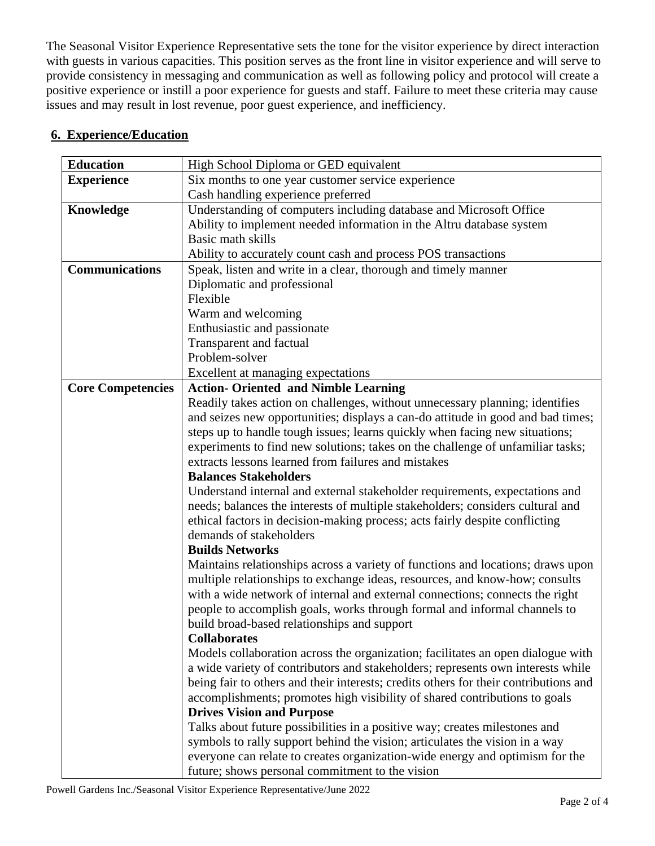The Seasonal Visitor Experience Representative sets the tone for the visitor experience by direct interaction with guests in various capacities. This position serves as the front line in visitor experience and will serve to provide consistency in messaging and communication as well as following policy and protocol will create a positive experience or instill a poor experience for guests and staff. Failure to meet these criteria may cause issues and may result in lost revenue, poor guest experience, and inefficiency.

| <b>Education</b>         | High School Diploma or GED equivalent                                                |  |
|--------------------------|--------------------------------------------------------------------------------------|--|
| <b>Experience</b>        | Six months to one year customer service experience                                   |  |
|                          | Cash handling experience preferred                                                   |  |
| Knowledge                | Understanding of computers including database and Microsoft Office                   |  |
|                          | Ability to implement needed information in the Altru database system                 |  |
|                          | Basic math skills                                                                    |  |
|                          | Ability to accurately count cash and process POS transactions                        |  |
| <b>Communications</b>    | Speak, listen and write in a clear, thorough and timely manner                       |  |
|                          | Diplomatic and professional                                                          |  |
|                          | Flexible                                                                             |  |
|                          | Warm and welcoming                                                                   |  |
|                          | Enthusiastic and passionate                                                          |  |
|                          | Transparent and factual                                                              |  |
|                          | Problem-solver                                                                       |  |
|                          | Excellent at managing expectations                                                   |  |
| <b>Core Competencies</b> | <b>Action- Oriented and Nimble Learning</b>                                          |  |
|                          | Readily takes action on challenges, without unnecessary planning; identifies         |  |
|                          | and seizes new opportunities; displays a can-do attitude in good and bad times;      |  |
|                          | steps up to handle tough issues; learns quickly when facing new situations;          |  |
|                          | experiments to find new solutions; takes on the challenge of unfamiliar tasks;       |  |
|                          | extracts lessons learned from failures and mistakes                                  |  |
|                          | <b>Balances Stakeholders</b>                                                         |  |
|                          | Understand internal and external stakeholder requirements, expectations and          |  |
|                          | needs; balances the interests of multiple stakeholders; considers cultural and       |  |
|                          | ethical factors in decision-making process; acts fairly despite conflicting          |  |
|                          | demands of stakeholders                                                              |  |
|                          | <b>Builds Networks</b>                                                               |  |
|                          | Maintains relationships across a variety of functions and locations; draws upon      |  |
|                          | multiple relationships to exchange ideas, resources, and know-how; consults          |  |
|                          | with a wide network of internal and external connections; connects the right         |  |
|                          | people to accomplish goals, works through formal and informal channels to            |  |
|                          | build broad-based relationships and support                                          |  |
|                          | <b>Collaborates</b>                                                                  |  |
|                          | Models collaboration across the organization; facilitates an open dialogue with      |  |
|                          | a wide variety of contributors and stakeholders; represents own interests while      |  |
|                          | being fair to others and their interests; credits others for their contributions and |  |
|                          | accomplishments; promotes high visibility of shared contributions to goals           |  |
|                          | <b>Drives Vision and Purpose</b>                                                     |  |
|                          | Talks about future possibilities in a positive way; creates milestones and           |  |
|                          | symbols to rally support behind the vision; articulates the vision in a way          |  |
|                          | everyone can relate to creates organization-wide energy and optimism for the         |  |
|                          | future; shows personal commitment to the vision                                      |  |

# **6. Experience/Education**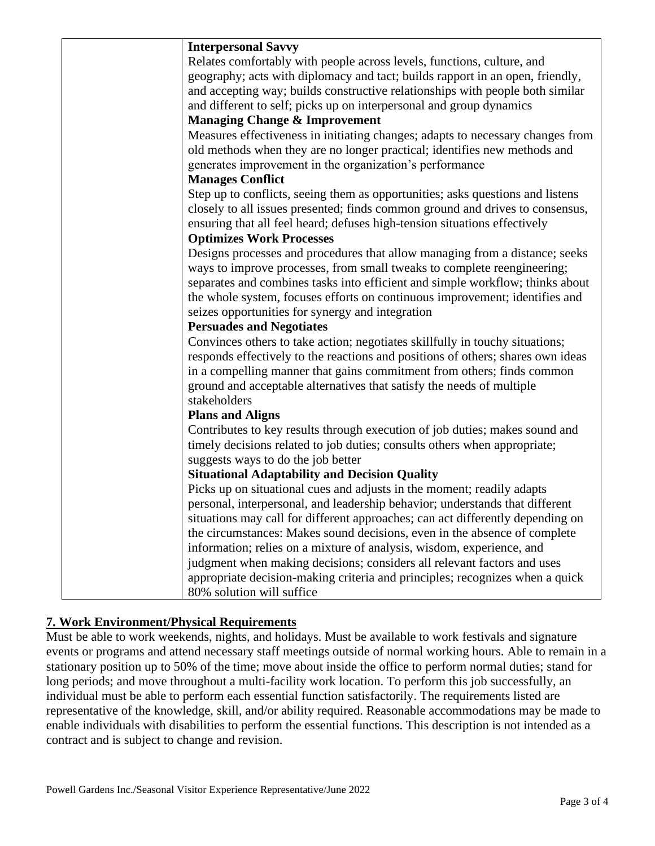| <b>Interpersonal Savvy</b>                                                      |
|---------------------------------------------------------------------------------|
| Relates comfortably with people across levels, functions, culture, and          |
| geography; acts with diplomacy and tact; builds rapport in an open, friendly,   |
| and accepting way; builds constructive relationships with people both similar   |
| and different to self; picks up on interpersonal and group dynamics             |
| <b>Managing Change &amp; Improvement</b>                                        |
| Measures effectiveness in initiating changes; adapts to necessary changes from  |
| old methods when they are no longer practical; identifies new methods and       |
| generates improvement in the organization's performance                         |
| <b>Manages Conflict</b>                                                         |
| Step up to conflicts, seeing them as opportunities; asks questions and listens  |
| closely to all issues presented; finds common ground and drives to consensus,   |
| ensuring that all feel heard; defuses high-tension situations effectively       |
| <b>Optimizes Work Processes</b>                                                 |
| Designs processes and procedures that allow managing from a distance; seeks     |
| ways to improve processes, from small tweaks to complete reengineering;         |
| separates and combines tasks into efficient and simple workflow; thinks about   |
| the whole system, focuses efforts on continuous improvement; identifies and     |
| seizes opportunities for synergy and integration                                |
| <b>Persuades and Negotiates</b>                                                 |
| Convinces others to take action; negotiates skillfully in touchy situations;    |
| responds effectively to the reactions and positions of others; shares own ideas |
| in a compelling manner that gains commitment from others; finds common          |
| ground and acceptable alternatives that satisfy the needs of multiple           |
| stakeholders                                                                    |
| <b>Plans and Aligns</b>                                                         |
| Contributes to key results through execution of job duties; makes sound and     |
| timely decisions related to job duties; consults others when appropriate;       |
| suggests ways to do the job better                                              |
| <b>Situational Adaptability and Decision Quality</b>                            |
| Picks up on situational cues and adjusts in the moment; readily adapts          |
| personal, interpersonal, and leadership behavior; understands that different    |
| situations may call for different approaches; can act differently depending on  |
| the circumstances: Makes sound decisions, even in the absence of complete       |
| information; relies on a mixture of analysis, wisdom, experience, and           |
| judgment when making decisions; considers all relevant factors and uses         |
| appropriate decision-making criteria and principles; recognizes when a quick    |
| 80% solution will suffice                                                       |

# **7. Work Environment/Physical Requirements**

Must be able to work weekends, nights, and holidays. Must be available to work festivals and signature events or programs and attend necessary staff meetings outside of normal working hours. Able to remain in a stationary position up to 50% of the time; move about inside the office to perform normal duties; stand for long periods; and move throughout a multi-facility work location. To perform this job successfully, an individual must be able to perform each essential function satisfactorily. The requirements listed are representative of the knowledge, skill, and/or ability required. Reasonable accommodations may be made to enable individuals with disabilities to perform the essential functions. This description is not intended as a contract and is subject to change and revision.